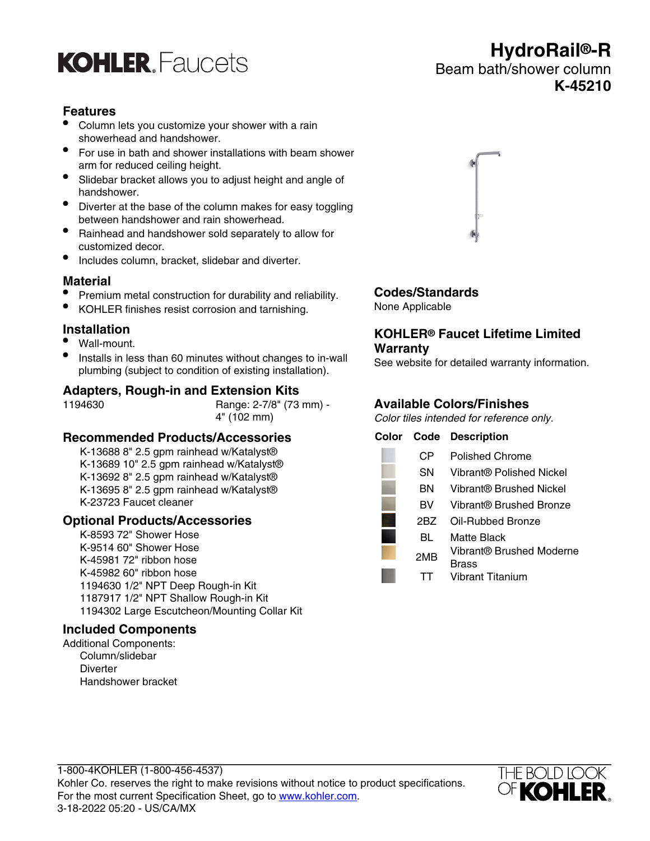## **KOHLER** Faucets

## **Features**

- Column lets you customize your shower with a rain showerhead and handshower.
- For use in bath and shower installations with beam shower arm for reduced ceiling height.
- Slidebar bracket allows you to adjust height and angle of handshower.
- Diverter at the base of the column makes for easy toggling between handshower and rain showerhead.
- Rainhead and handshower sold separately to allow for customized decor.
- Includes column, bracket, slidebar and diverter.

#### **Material**

- Premium metal construction for durability and reliability.
- KOHLER finishes resist corrosion and tarnishing.

## **Installation**

- Wall-mount.
- Installs in less than 60 minutes without changes to in-wall plumbing (subject to condition of existing installation).

## **Adapters, Rough-in and Extension Kits**

1194630 Range: 2-7/8" (73 mm) - 4" (102 mm)

## **Recommended Products/Accessories**

K-13688 8" 2.5 gpm rainhead w/Katalyst® K-13689 10" 2.5 gpm rainhead w/Katalyst® K-13692 8" 2.5 gpm rainhead w/Katalyst® K-13695 8" 2.5 gpm rainhead w/Katalyst® K-23723 Faucet cleaner

## **Optional Products/Accessories**

K-8593 72" Shower Hose K-9514 60" Shower Hose K-45981 72" ribbon hose K-45982 60" ribbon hose 1194630 1/2" NPT Deep Rough-in Kit 1187917 1/2" NPT Shallow Rough-in Kit 1194302 Large Escutcheon/Mounting Collar Kit

#### **Included Components**

Additional Components: Column/slidebar **Diverter** Handshower bracket

## **HydroRail®-R** Beam bath/shower column **K-45210**



## **Codes/Standards**

None Applicable

#### **KOHLER® Faucet Lifetime Limited Warranty**

See website for detailed warranty information.

## **Available Colors/Finishes**

Color tiles intended for reference only.

| Color |     | <b>Code Description</b>  |
|-------|-----|--------------------------|
|       | CР  | <b>Polished Chrome</b>   |
|       | SΝ  | Vibrant® Polished Nickel |
|       | ΒN  | Vibrant® Brushed Nickel  |
|       | BV  | Vibrant® Brushed Bronze  |
|       | 2BZ | Oil-Rubbed Bronze        |
|       | BL  | Matte Black              |
|       | 2MB | Vibrant® Brushed Moderne |
|       |     | Brass                    |
|       |     | Vibrant Titanium         |